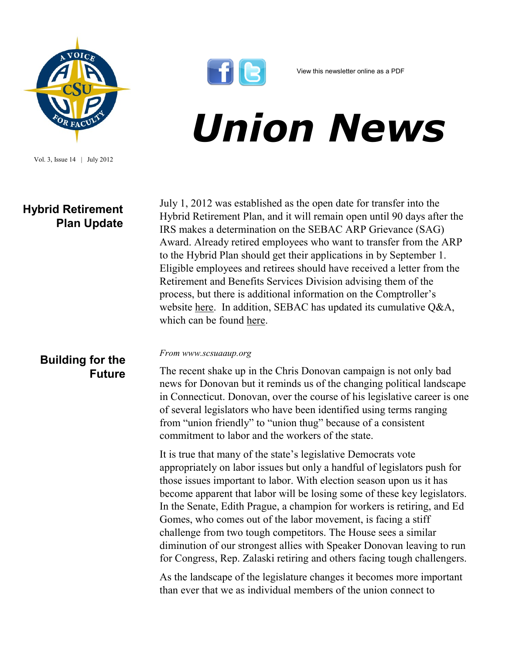

Vol. 3, Issue 14 | July 2012

## **Hybrid Retirement Plan Update**



## *Union News*

July 1, 2012 was established as the open date for transfer into the Hybrid Retirement Plan, and it will remain open until 90 days after the IRS makes a determination on the SEBAC ARP Grievance (SAG) Award. Already retired employees who want to transfer from the ARP to the Hybrid Plan should get their applications in by September 1. Eligible employees and retirees should have received a letter from the Retirement and Benefits Services Division advising them of the process, but there is additional information on the Comptroller's website [here.](http://www.osc.ct.gov/rbsd/arptransfer/index.html) In addition, SEBAC has updated its cumulative Q&A, which can be found [here.](http://www.csuaaup.org/wp-content/uploads/2012/07/HybridQA070512.pdf)

## **Building for the Future**

## *From www.scsuaaup.org*

The recent shake up in the Chris Donovan campaign is not only bad news for Donovan but it reminds us of the changing political landscape in Connecticut. Donovan, over the course of his legislative career is one of several legislators who have been identified using terms ranging from "union friendly" to "union thug" because of a consistent commitment to labor and the workers of the state.

It is true that many of the state's legislative Democrats vote appropriately on labor issues but only a handful of legislators push for those issues important to labor. With election season upon us it has become apparent that labor will be losing some of these key legislators. In the Senate, Edith Prague, a champion for workers is retiring, and Ed Gomes, who comes out of the labor movement, is facing a stiff challenge from two tough competitors. The House sees a similar diminution of our strongest allies with Speaker Donovan leaving to run for Congress, Rep. Zalaski retiring and others facing tough challengers.

As the landscape of the legislature changes it becomes more important than ever that we as individual members of the union connect to